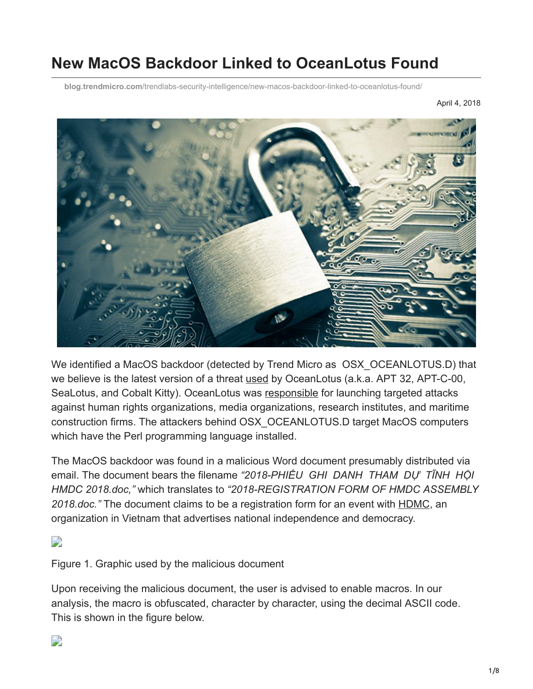# **New MacOS Backdoor Linked to OceanLotus Found**

**blog.trendmicro.com**[/trendlabs-security-intelligence/new-macos-backdoor-linked-to-oceanlotus-found/](https://blog.trendmicro.com/trendlabs-security-intelligence/new-macos-backdoor-linked-to-oceanlotus-found/)

April 4, 2018



We identified a MacOS backdoor (detected by Trend Micro as OSX OCEANLOTUS.D) that we believe is the latest version of a threat [used](https://researchcenter.paloaltonetworks.com/2017/06/unit42-new-improved-macos-backdoor-oceanlotus/) by OceanLotus (a.k.a. APT 32, APT-C-00, SeaLotus, and Cobalt Kitty). OceanLotus was [responsible](https://www.volexity.com/blog/2017/11/06/oceanlotus-blossoms-mass-digital-surveillance-and-exploitation-of-asean-nations-the-media-human-rights-and-civil-society/) for launching targeted attacks against human rights organizations, media organizations, research institutes, and maritime construction firms. The attackers behind OSX\_OCEANLOTUS.D target MacOS computers which have the Perl programming language installed.

The MacOS backdoor was found in a malicious Word document presumably distributed via email. The document bears the filename *"2018-PHIẾU GHI DANH THAM DỰ TĨNH HỘI HMDC 2018.doc,"* which translates to *"2018-REGISTRATION FORM OF HMDC ASSEMBLY 2018.doc."* The document claims to be a registration form for an event with [HDMC,](https://changevietnam.wordpress.com/2017/06/23/hmdc-thong-cao-bao-chi/) an organization in Vietnam that advertises national independence and democracy.

 $\Box$ 

Figure 1. Graphic used by the malicious document

Upon receiving the malicious document, the user is advised to enable macros. In our analysis, the macro is obfuscated, character by character, using the decimal ASCII code. This is shown in the figure below.

#### $\Box$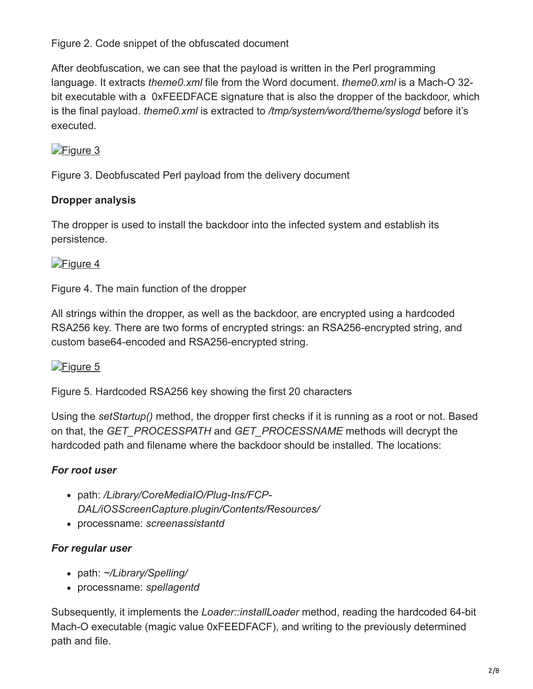Figure 2. Code snippet of the obfuscated document

After deobfuscation, we can see that the payload is written in the Perl programming language. It extracts *theme0.xml* file from the Word document. *theme0.xml* is a Mach-O 32 bit executable with a 0xFEEDFACE signature that is also the dropper of the backdoor, which is the final payload. *theme0.xml* is extracted to */tmp/system/word/theme/syslogd* before it's executed.

### [Figure 3](https://blog.trendmicro.com/content/dam/trendmicro/global/en/migrated/security-intelligence-migration-spreadsheet/trendlabs-security-intelligence/2018/04/Figure_3_deobfuscated_payload.jpg)

Figure 3. Deobfuscated Perl payload from the delivery document

#### **Dropper analysis**

The dropper is used to install the backdoor into the infected system and establish its persistence.

#### [Figure 4](https://blog.trendmicro.com/content/dam/trendmicro/global/en/migrated/security-intelligence-migration-spreadsheet/trendlabs-security-intelligence/2018/04/Figure_4_main_function_dropper.jpg)

Figure 4. The main function of the dropper

All strings within the dropper, as well as the backdoor, are encrypted using a hardcoded RSA256 key. There are two forms of encrypted strings: an RSA256-encrypted string, and custom base64-encoded and RSA256-encrypted string.

#### [Figure 5](https://blog.trendmicro.com/content/dam/trendmicro/global/en/migrated/security-intelligence-migration-spreadsheet/trendlabs-security-intelligence/2018/04/Figure_5_hardcoded_rsa_key.jpg)

Figure 5. Hardcoded RSA256 key showing the first 20 characters

Using the *setStartup()* method, the dropper first checks if it is running as a root or not. Based on that, the *GET\_PROCESSPATH* and *GET\_PROCESSNAME* methods will decrypt the hardcoded path and filename where the backdoor should be installed. The locations:

### *For root user*

- path: */Library/CoreMediaIO/Plug-Ins/FCP-DAL/iOSScreenCapture.plugin/Contents/Resources/*
- processname: *screenassistantd*

#### *For regular user*

- path: *~/Library/Spelling/*
- processname: *spellagentd*

Subsequently, it implements the *Loader::installLoader* method, reading the hardcoded 64-bit Mach-O executable (magic value 0xFEEDFACF), and writing to the previously determined path and file.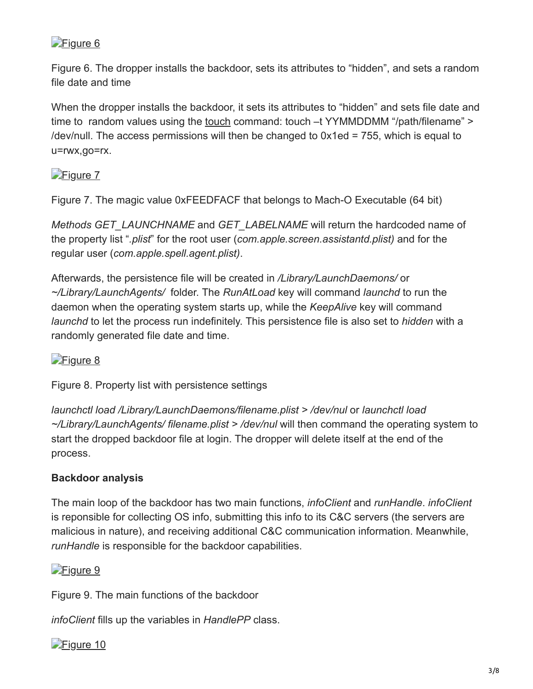#### [Figure 6](https://blog.trendmicro.com/content/dam/trendmicro/global/en/migrated/security-intelligence-migration-spreadsheet/trendlabs-security-intelligence/2018/04/Figure_6_dropper_installing_backdoor.jpg)

Figure 6. The dropper installs the backdoor, sets its attributes to "hidden", and sets a random file date and time

When the dropper installs the backdoor, it sets its attributes to "hidden" and sets file date and time to random values using the [touch](https://www.mkssoftware.com/docs/man1/touch.1.asp) command: touch –t YYMMDDMM "/path/filename" > /dev/null. The access permissions will then be changed to  $0x1ed = 755$ , which is equal to u=rwx,go=rx.

#### [Figure 7](https://blog.trendmicro.com/content/dam/trendmicro/global/en/migrated/security-intelligence-migration-spreadsheet/trendlabs-security-intelligence/2018/04/Figure_7_magic_value.jpg)

Figure 7. The magic value 0xFEEDFACF that belongs to Mach-O Executable (64 bit)

*Methods GET\_LAUNCHNAME* and *GET\_LABELNAME* will return the hardcoded name of the property list "*.plist*" for the root user (*com.apple.screen.assistantd.plist)* and for the regular user (*com.apple.spell.agent.plist)*.

Afterwards, the persistence file will be created in */Library/LaunchDaemons/* or *~/Library/LaunchAgents/* folder. The *RunAtLoad* key will command *launchd* to run the daemon when the operating system starts up, while the *KeepAlive* key will command *launchd* to let the process run indefinitely. This persistence file is also set to *hidden* with a randomly generated file date and time.

#### [Figure 8](https://blog.trendmicro.com/content/dam/trendmicro/global/en/migrated/security-intelligence-migration-spreadsheet/trendlabs-security-intelligence/2018/04/Figure_8_property_list.jpg)

Figure 8. Property list with persistence settings

*launchctl load /Library/LaunchDaemons/filename.plist > /dev/nul* or *launchctl load ~/Library/LaunchAgents/ filename.plist > /dev/nul* will then command the operating system to start the dropped backdoor file at login. The dropper will delete itself at the end of the process.

#### **Backdoor analysis**

The main loop of the backdoor has two main functions, *infoClient* and *runHandle*. *infoClient* is reponsible for collecting OS info, submitting this info to its C&C servers (the servers are malicious in nature), and receiving additional C&C communication information. Meanwhile, *runHandle* is responsible for the backdoor capabilities.



Figure 9. The main functions of the backdoor

*infoClient* fills up the variables in *HandlePP* class.

#### [Figure 10](https://blog.trendmicro.com/content/dam/trendmicro/global/en/migrated/security-intelligence-migration-spreadsheet/trendlabs-security-intelligence/2018/04/Figure_10_variable_list.jpg)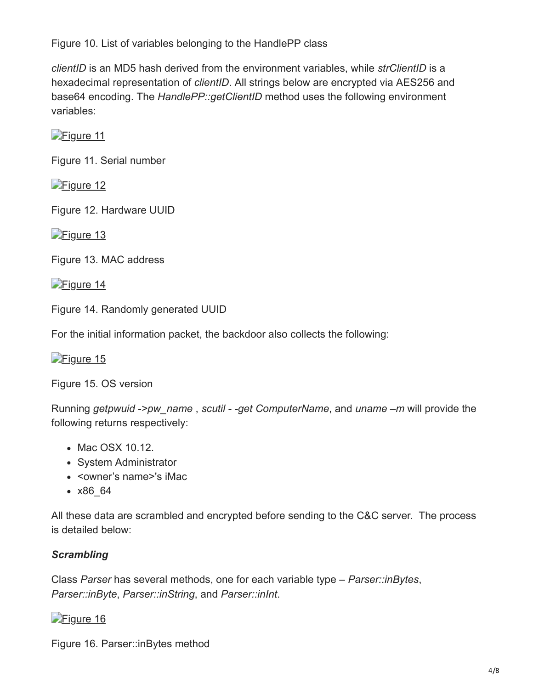Figure 10. List of variables belonging to the HandlePP class

*clientID* is an MD5 hash derived from the environment variables, while *strClientID* is a hexadecimal representation of *clientID*. All strings below are encrypted via AES256 and base64 encoding. The *HandlePP::getClientID* method uses the following environment variables:

[Figure 11](https://blog.trendmicro.com/content/dam/trendmicro/global/en/migrated/security-intelligence-migration-spreadsheet/trendlabs-security-intelligence/2018/04/Figure_11_serial_number.jpg)

Figure 11. Serial number

[Figure 12](https://blog.trendmicro.com/content/dam/trendmicro/global/en/migrated/security-intelligence-migration-spreadsheet/trendlabs-security-intelligence/2018/04/Figure_12_hardware.jpg)

Figure 12. Hardware UUID

[Figure 13](https://blog.trendmicro.com/content/dam/trendmicro/global/en/migrated/security-intelligence-migration-spreadsheet/trendlabs-security-intelligence/2018/04/Figure_13_MAC_address.jpg)

Figure 13. MAC address

[Figure 14](https://blog.trendmicro.com/content/dam/trendmicro/global/en/migrated/security-intelligence-migration-spreadsheet/trendlabs-security-intelligence/2018/04/Figure_14_random_UUID.jpg)

Figure 14. Randomly generated UUID

For the initial information packet, the backdoor also collects the following:

[Figure 15](https://blog.trendmicro.com/content/dam/trendmicro/global/en/migrated/security-intelligence-migration-spreadsheet/trendlabs-security-intelligence/2018/04/Figure_15_OS_version.jpg)

Figure 15. OS version

Running *getpwuid ->pw\_name* , *scutil - -get ComputerName*, and *uname –m* will provide the following returns respectively:

- Mac OSX 10.12.
- System Administrator
- < owner's name > 's iMac
- x86\_64

All these data are scrambled and encrypted before sending to the C&C server. The process is detailed below:

#### *Scrambling*

Class *Parser* has several methods, one for each variable type – *Parser::inBytes*, *Parser::inByte*, *Parser::inString*, and *Parser::inInt*.

### [Figure 16](https://blog.trendmicro.com/content/dam/trendmicro/global/en/migrated/security-intelligence-migration-spreadsheet/trendlabs-security-intelligence/2018/04/Figure_16_Parser.jpg)

Figure 16. Parser::inBytes method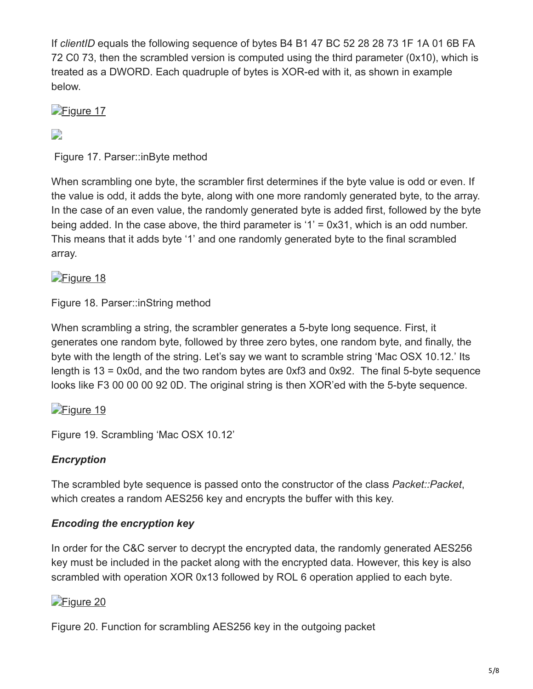If *clientID* equals the following sequence of bytes B4 B1 47 BC 52 28 28 73 1F 1A 01 6B FA 72 C0 73, then the scrambled version is computed using the third parameter (0x10), which is treated as a DWORD. Each quadruple of bytes is XOR-ed with it, as shown in example below.

[Figure 17](https://blog.trendmicro.com/content/dam/trendmicro/global/en/migrated/security-intelligence-migration-spreadsheet/trendlabs-security-intelligence/2018/04/Figure_17_Parser2.jpg)

#### D

Figure 17. Parser::inByte method

When scrambling one byte, the scrambler first determines if the byte value is odd or even. If the value is odd, it adds the byte, along with one more randomly generated byte, to the array. In the case of an even value, the randomly generated byte is added first, followed by the byte being added. In the case above, the third parameter is '1' = 0x31, which is an odd number. This means that it adds byte '1' and one randomly generated byte to the final scrambled array.

#### [Figure 18](https://blog.trendmicro.com/content/dam/trendmicro/global/en/migrated/security-intelligence-migration-spreadsheet/trendlabs-security-intelligence/2018/04/Figure_18_Parser3.jpg)

Figure 18. Parser::inString method

When scrambling a string, the scrambler generates a 5-byte long sequence. First, it generates one random byte, followed by three zero bytes, one random byte, and finally, the byte with the length of the string. Let's say we want to scramble string 'Mac OSX 10.12.' Its length is 13 = 0x0d, and the two random bytes are 0xf3 and 0x92. The final 5-byte sequence looks like F3 00 00 00 92 0D. The original string is then XOR'ed with the 5-byte sequence.

#### [Figure 19](https://blog.trendmicro.com/content/dam/trendmicro/global/en/migrated/security-intelligence-migration-spreadsheet/trendlabs-security-intelligence/2018/04/Figure_19_scrambling.jpg)

Figure 19. Scrambling 'Mac OSX 10.12'

#### *Encryption*

The scrambled byte sequence is passed onto the constructor of the class *Packet::Packet*, which creates a random AES256 key and encrypts the buffer with this key.

#### *Encoding the encryption key*

In order for the C&C server to decrypt the encrypted data, the randomly generated AES256 key must be included in the packet along with the encrypted data. However, this key is also scrambled with operation XOR 0x13 followed by ROL 6 operation applied to each byte.

### [Figure 20](https://blog.trendmicro.com/content/dam/trendmicro/global/en/migrated/security-intelligence-migration-spreadsheet/trendlabs-security-intelligence/2018/04/Figure_20_scrambling_AES.jpg)

Figure 20. Function for scrambling AES256 key in the outgoing packet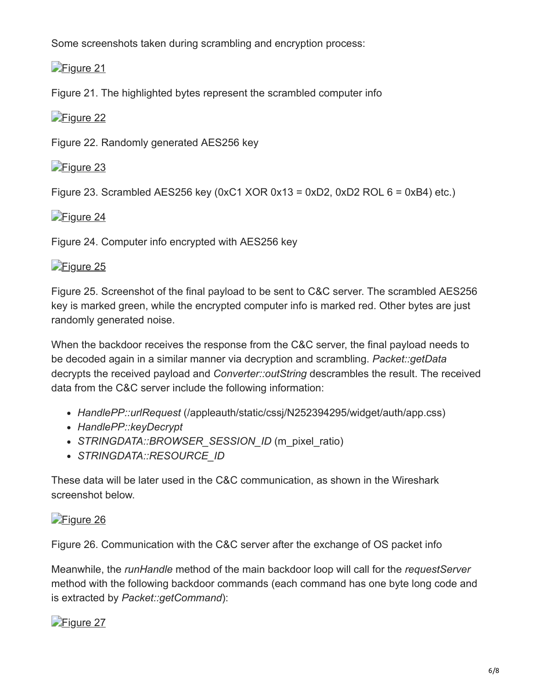Some screenshots taken during scrambling and encryption process:

[Figure 21](https://blog.trendmicro.com/content/dam/trendmicro/global/en/migrated/security-intelligence-migration-spreadsheet/trendlabs-security-intelligence/2018/04/Figure_21_highlighted_bytes_computer_info.jpg)

Figure 21. The highlighted bytes represent the scrambled computer info

[Figure 22](https://blog.trendmicro.com/content/dam/trendmicro/global/en/migrated/security-intelligence-migration-spreadsheet/trendlabs-security-intelligence/2018/04/Figure_22_random_AES.jpg)

Figure 22. Randomly generated AES256 key

[Figure 23](https://blog.trendmicro.com/content/dam/trendmicro/global/en/migrated/security-intelligence-migration-spreadsheet/trendlabs-security-intelligence/2018/04/Figure_23_scrambled_key.jpg)

Figure 23. Scrambled AES256 key (0xC1 XOR  $0x13 = 0xD2$ , 0xD2 ROL  $6 = 0xB4$ ) etc.)

[Figure 24](https://blog.trendmicro.com/content/dam/trendmicro/global/en/migrated/security-intelligence-migration-spreadsheet/trendlabs-security-intelligence/2018/04/Figure_24_info_encrypted.jpg)

Figure 24. Computer info encrypted with AES256 key

## [Figure 25](https://blog.trendmicro.com/content/dam/trendmicro/global/en/migrated/security-intelligence-migration-spreadsheet/trendlabs-security-intelligence/2018/04/Figure_25_final_payload.jpg)

Figure 25. Screenshot of the final payload to be sent to C&C server. The scrambled AES256 key is marked green, while the encrypted computer info is marked red. Other bytes are just randomly generated noise.

When the backdoor receives the response from the C&C server, the final payload needs to be decoded again in a similar manner via decryption and scrambling. *Packet::getData* decrypts the received payload and *Converter::outString* descrambles the result. The received data from the C&C server include the following information:

- *HandlePP::urlRequest* (/appleauth/static/cssj/N252394295/widget/auth/app.css)
- *HandlePP::keyDecrypt*
- STRINGDATA::BROWSER SESSION ID (m\_pixel\_ratio)
- *STRINGDATA::RESOURCE\_ID*

These data will be later used in the C&C communication, as shown in the Wireshark screenshot below.

## [Figure 26](https://blog.trendmicro.com/content/dam/trendmicro/global/en/migrated/security-intelligence-migration-spreadsheet/trendlabs-security-intelligence/2018/04/Figure_26_C2_communication.jpg)

Figure 26. Communication with the C&C server after the exchange of OS packet info

Meanwhile, the *runHandle* method of the main backdoor loop will call for the *requestServer* method with the following backdoor commands (each command has one byte long code and is extracted by *Packet::getCommand*):

# [Figure 27](https://blog.trendmicro.com/content/dam/trendmicro/global/en/migrated/security-intelligence-migration-spreadsheet/trendlabs-security-intelligence/2018/04/Figure_27_GetCommand.jpg)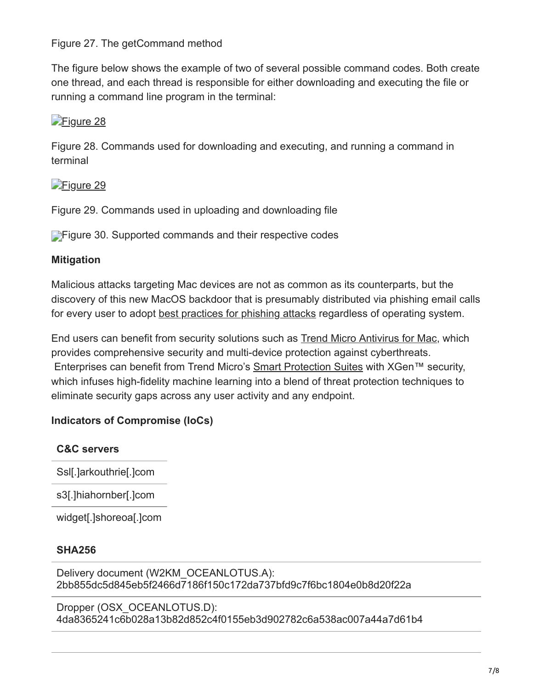Figure 27. The getCommand method

The figure below shows the example of two of several possible command codes. Both create one thread, and each thread is responsible for either downloading and executing the file or running a command line program in the terminal:

### [Figure 28](https://blog.trendmicro.com/content/dam/trendmicro/global/en/migrated/security-intelligence-migration-spreadsheet/trendlabs-security-intelligence/2018/04/Figure_28_commands_used.jpg)

Figure 28. Commands used for downloading and executing, and running a command in terminal

### [Figure 29](https://blog.trendmicro.com/content/dam/trendmicro/global/en/migrated/security-intelligence-migration-spreadsheet/trendlabs-security-intelligence/2018/04/Figure_29_commands_used2.jpg)

Figure 29. Commands used in uploading and downloading file

**Figure 30. Supported commands and their respective codes** 

#### **Mitigation**

Malicious attacks targeting Mac devices are not as common as its counterparts, but the discovery of this new MacOS backdoor that is presumably distributed via phishing email calls for every user to adopt [best practices for phishing attacks](http://www.trendmicro.com.ph/vinfo/ph/security/news/cybercrime-and-digital-threats/best-practices-identifying-and-mitigating-phishing-attacks) regardless of operating system.

End users can benefit from security solutions such as **[Trend Micro Antivirus for Mac](https://blog.trendmicro.com/en_us/forHome/products/antivirus-for-mac.html)**, which provides comprehensive security and multi-device protection against cyberthreats. Enterprises can benefit from Trend Micro's [Smart Protection Suites](https://blog.trendmicro.com/en_us/business/products/user-protection/sps.html) with XGen™ security, which infuses high-fidelity machine learning into a blend of threat protection techniques to eliminate security gaps across any user activity and any endpoint.

#### **Indicators of Compromise (IoCs)**

#### **C&C servers**

Ssl[.]arkouthrie[.]com

s3[.]hiahornber[.]com

widget[.]shoreoa[.]com

#### **SHA256**

Delivery document (W2KM\_OCEANLOTUS.A): 2bb855dc5d845eb5f2466d7186f150c172da737bfd9c7f6bc1804e0b8d20f22a

Dropper (OSX\_OCEANLOTUS.D): 4da8365241c6b028a13b82d852c4f0155eb3d902782c6a538ac007a44a7d61b4